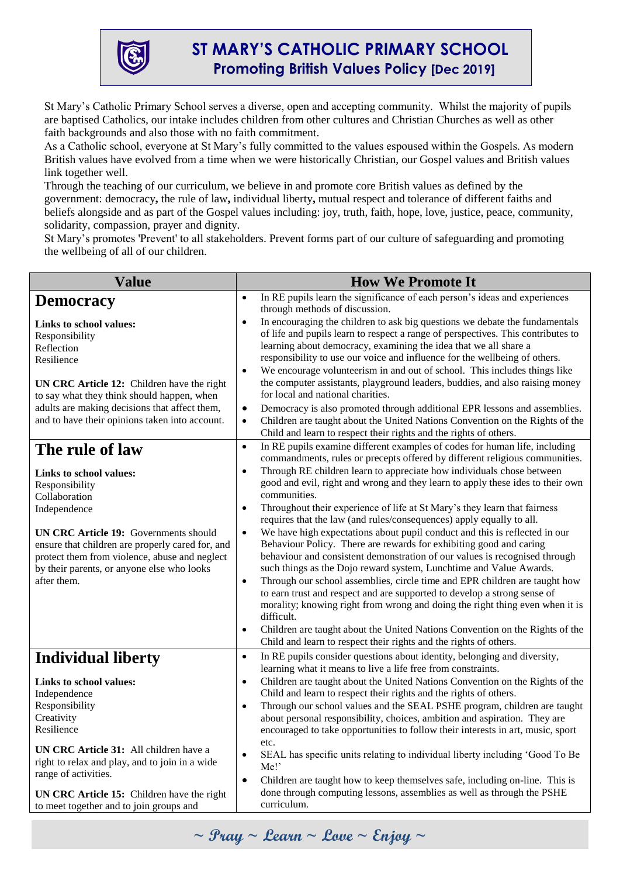

St Mary's Catholic Primary School serves a diverse, open and accepting community. Whilst the majority of pupils are baptised Catholics, our intake includes children from other cultures and Christian Churches as well as other faith backgrounds and also those with no faith commitment.

As a Catholic school, everyone at St Mary's fully committed to the values espoused within the Gospels. As modern British values have evolved from a time when we were historically Christian, our Gospel values and British values link together well.

Through the teaching of our curriculum, we believe in and promote core British values as defined by the government: democracy**,** the rule of law**,** individual liberty**,** mutual respect and tolerance of different faiths and beliefs alongside and as part of the Gospel values including: joy, truth, faith, hope, love, justice, peace, community, solidarity, compassion, prayer and dignity.

St Mary's promotes 'Prevent' to all stakeholders. Prevent forms part of our culture of safeguarding and promoting the wellbeing of all of our children.

| <b>Value</b>                                                                                                                                                                                                                                                                                       | <b>How We Promote It</b>                                                                                                                                                                                                                                                                                                                                                                                                                                                                                                                                                                                                                                                                                                                                                                                                                                                                                                                                                                                                                                                                                   |
|----------------------------------------------------------------------------------------------------------------------------------------------------------------------------------------------------------------------------------------------------------------------------------------------------|------------------------------------------------------------------------------------------------------------------------------------------------------------------------------------------------------------------------------------------------------------------------------------------------------------------------------------------------------------------------------------------------------------------------------------------------------------------------------------------------------------------------------------------------------------------------------------------------------------------------------------------------------------------------------------------------------------------------------------------------------------------------------------------------------------------------------------------------------------------------------------------------------------------------------------------------------------------------------------------------------------------------------------------------------------------------------------------------------------|
| <b>Democracy</b><br>Links to school values:<br>Responsibility<br>Reflection<br>Resilience<br>UN CRC Article 12: Children have the right<br>to say what they think should happen, when<br>adults are making decisions that affect them,<br>and to have their opinions taken into account.           | In RE pupils learn the significance of each person's ideas and experiences<br>$\bullet$<br>through methods of discussion.<br>In encouraging the children to ask big questions we debate the fundamentals<br>$\bullet$<br>of life and pupils learn to respect a range of perspectives. This contributes to<br>learning about democracy, examining the idea that we all share a<br>responsibility to use our voice and influence for the wellbeing of others.<br>We encourage volunteerism in and out of school. This includes things like<br>$\bullet$<br>the computer assistants, playground leaders, buddies, and also raising money<br>for local and national charities.<br>Democracy is also promoted through additional EPR lessons and assemblies.<br>$\bullet$<br>Children are taught about the United Nations Convention on the Rights of the<br>$\bullet$<br>Child and learn to respect their rights and the rights of others.                                                                                                                                                                     |
| The rule of law                                                                                                                                                                                                                                                                                    | In RE pupils examine different examples of codes for human life, including<br>$\bullet$<br>commandments, rules or precepts offered by different religious communities.                                                                                                                                                                                                                                                                                                                                                                                                                                                                                                                                                                                                                                                                                                                                                                                                                                                                                                                                     |
| Links to school values:<br>Responsibility<br>Collaboration<br>Independence<br><b>UN CRC Article 19: Governments should</b><br>ensure that children are properly cared for, and<br>protect them from violence, abuse and neglect<br>by their parents, or anyone else who looks<br>after them.       | Through RE children learn to appreciate how individuals chose between<br>$\bullet$<br>good and evil, right and wrong and they learn to apply these ides to their own<br>communities.<br>Throughout their experience of life at St Mary's they learn that fairness<br>$\bullet$<br>requires that the law (and rules/consequences) apply equally to all.<br>We have high expectations about pupil conduct and this is reflected in our<br>$\bullet$<br>Behaviour Policy. There are rewards for exhibiting good and caring<br>behaviour and consistent demonstration of our values is recognised through<br>such things as the Dojo reward system, Lunchtime and Value Awards.<br>Through our school assemblies, circle time and EPR children are taught how<br>$\bullet$<br>to earn trust and respect and are supported to develop a strong sense of<br>morality; knowing right from wrong and doing the right thing even when it is<br>difficult.<br>Children are taught about the United Nations Convention on the Rights of the<br>٠<br>Child and learn to respect their rights and the rights of others. |
| <b>Individual liberty</b>                                                                                                                                                                                                                                                                          | In RE pupils consider questions about identity, belonging and diversity,<br>$\bullet$<br>learning what it means to live a life free from constraints.                                                                                                                                                                                                                                                                                                                                                                                                                                                                                                                                                                                                                                                                                                                                                                                                                                                                                                                                                      |
| Links to school values:<br>Independence<br>Responsibility<br>Creativity<br>Resilience<br>UN CRC Article 31: All children have a<br>right to relax and play, and to join in a wide<br>range of activities.<br>UN CRC Article 15: Children have the right<br>to meet together and to join groups and | Children are taught about the United Nations Convention on the Rights of the<br>$\bullet$<br>Child and learn to respect their rights and the rights of others.<br>Through our school values and the SEAL PSHE program, children are taught<br>$\bullet$<br>about personal responsibility, choices, ambition and aspiration. They are<br>encouraged to take opportunities to follow their interests in art, music, sport<br>etc.<br>SEAL has specific units relating to individual liberty including 'Good To Be<br>$\bullet$<br>Me!<br>Children are taught how to keep themselves safe, including on-line. This is<br>$\bullet$<br>done through computing lessons, assemblies as well as through the PSHE<br>curriculum.                                                                                                                                                                                                                                                                                                                                                                                   |